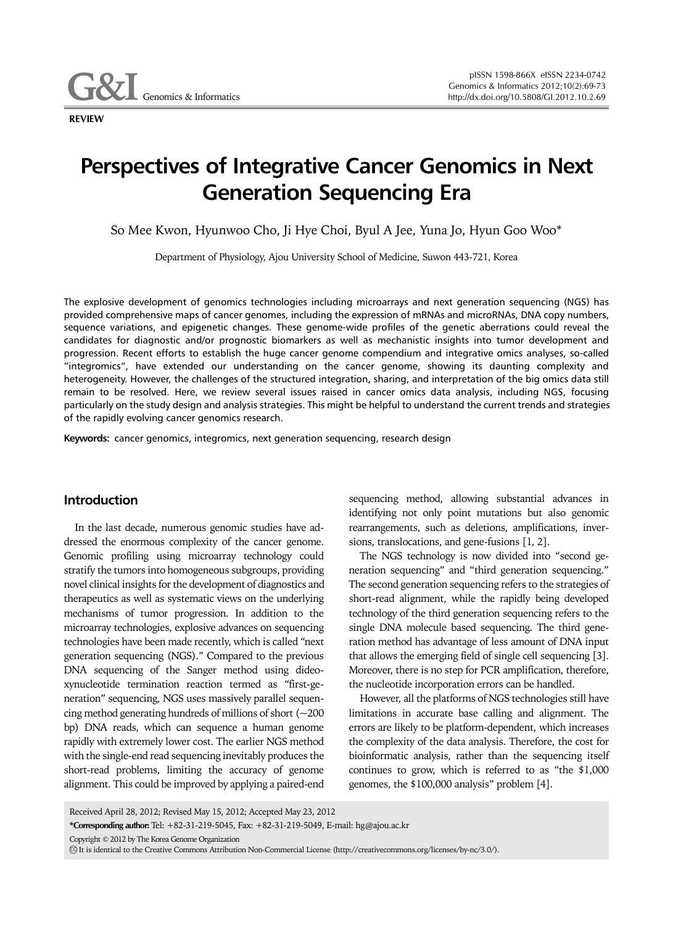**Genomics & Informatics** 

**REVIEW**

# **Perspectives of Integrative Cancer Genomics in Next Generation Sequencing Era**

So Mee Kwon, Hyunwoo Cho, Ji Hye Choi, Byul A Jee, Yuna Jo, Hyun Goo Woo\*

Department of Physiology, Ajou University School of Medicine, Suwon 443-721, Korea

The explosive development of genomics technologies including microarrays and next generation sequencing (NGS) has provided comprehensive maps of cancer genomes, including the expression of mRNAs and microRNAs, DNA copy numbers, sequence variations, and epigenetic changes. These genome-wide profiles of the genetic aberrations could reveal the candidates for diagnostic and/or prognostic biomarkers as well as mechanistic insights into tumor development and progression. Recent efforts to establish the huge cancer genome compendium and integrative omics analyses, so-called "integromics", have extended our understanding on the cancer genome, showing its daunting complexity and heterogeneity. However, the challenges of the structured integration, sharing, and interpretation of the big omics data still remain to be resolved. Here, we review several issues raised in cancer omics data analysis, including NGS, focusing particularly on the study design and analysis strategies. This might be helpful to understand the current trends and strategies of the rapidly evolving cancer genomics research.

**Keywords:** cancer genomics, integromics, next generation sequencing, research design

## **Introduction**

In the last decade, numerous genomic studies have addressed the enormous complexity of the cancer genome. Genomic profiling using microarray technology could stratify the tumors into homogeneous subgroups, providing novel clinical insights for the development of diagnostics and therapeutics as well as systematic views on the underlying mechanisms of tumor progression. In addition to the microarray technologies, explosive advances on sequencing technologies have been made recently, which is called "next generation sequencing (NGS)." Compared to the previous DNA sequencing of the Sanger method using dideoxynucleotide termination reaction termed as "first-generation" sequencing, NGS uses massively parallel sequencing method generating hundreds of millions of short (~200 bp) DNA reads, which can sequence a human genome rapidly with extremely lower cost. The earlier NGS method with the single-end read sequencing inevitably produces the short-read problems, limiting the accuracy of genome alignment. This could be improved by applying a paired-end

sequencing method, allowing substantial advances in identifying not only point mutations but also genomic rearrangements, such as deletions, amplifications, inversions, translocations, and gene-fusions [1, 2].

The NGS technology is now divided into "second generation sequencing" and "third generation sequencing." The second generation sequencing refers to the strategies of short-read alignment, while the rapidly being developed technology of the third generation sequencing refers to the single DNA molecule based sequencing. The third generation method has advantage of less amount of DNA input that allows the emerging field of single cell sequencing [3]. Moreover, there is no step for PCR amplification, therefore, the nucleotide incorporation errors can be handled.

However, all the platforms of NGS technologies still have limitations in accurate base calling and alignment. The errors are likely to be platform-dependent, which increases the complexity of the data analysis. Therefore, the cost for bioinformatic analysis, rather than the sequencing itself continues to grow, which is referred to as "the \$1,000 genomes, the \$100,000 analysis" problem [4].

Received April 28, 2012; Revised May 15, 2012; Accepted May 23, 2012

**\*Corresponding author:** Tel: +82-31-219-5045, Fax: +82-31-219-5049, E-mail: hg@ajou.ac.kr

Copyright © 2012 by The Korea Genome Organization

CC It is identical to the Creative Commons Attribution Non-Commercial License (http://creativecommons.org/licenses/by-nc/3.0/).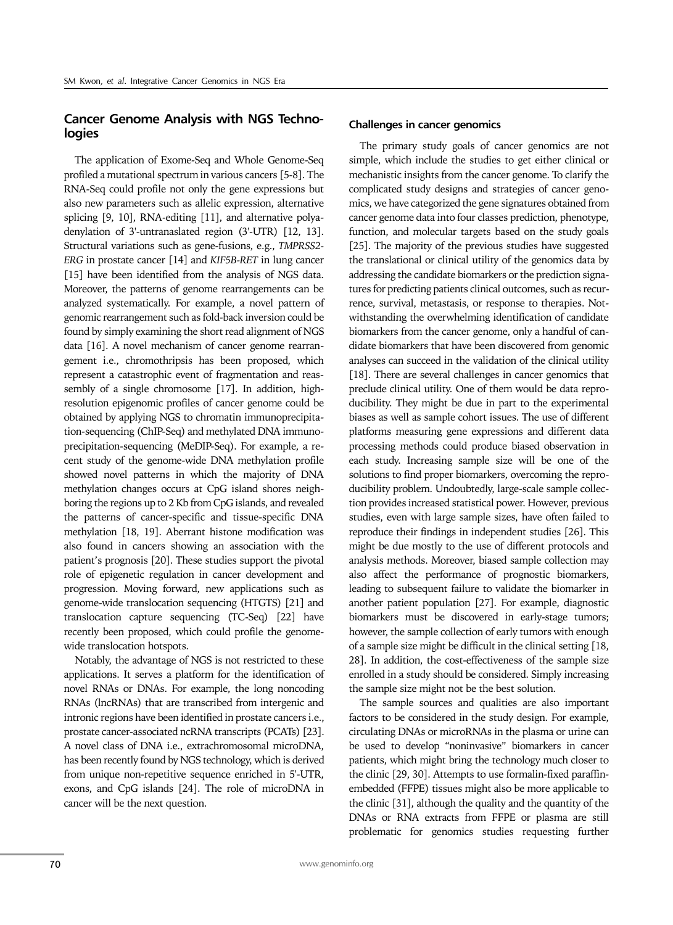## **Cancer Genome Analysis with NGS Technologies**

The application of Exome-Seq and Whole Genome-Seq profiled a mutational spectrum in various cancers [5-8]. The RNA-Seq could profile not only the gene expressions but also new parameters such as allelic expression, alternative splicing [9, 10], RNA-editing [11], and alternative polyadenylation of 3'-untranaslated region (3'-UTR) [12, 13]. Structural variations such as gene-fusions, e.g., *TMPRSS2- ERG* in prostate cancer [14] and *KIF5B-RET* in lung cancer [15] have been identified from the analysis of NGS data. Moreover, the patterns of genome rearrangements can be analyzed systematically. For example, a novel pattern of genomic rearrangement such as fold-back inversion could be found by simply examining the short read alignment of NGS data [16]. A novel mechanism of cancer genome rearrangement i.e., chromothripsis has been proposed, which represent a catastrophic event of fragmentation and reassembly of a single chromosome [17]. In addition, highresolution epigenomic profiles of cancer genome could be obtained by applying NGS to chromatin immunoprecipitation-sequencing (ChIP-Seq) and methylated DNA immunoprecipitation-sequencing (MeDIP-Seq). For example, a recent study of the genome-wide DNA methylation profile showed novel patterns in which the majority of DNA methylation changes occurs at CpG island shores neighboring the regions up to 2 Kb from CpG islands, and revealed the patterns of cancer-specific and tissue-specific DNA methylation [18, 19]. Aberrant histone modification was also found in cancers showing an association with the patient's prognosis [20]. These studies support the pivotal role of epigenetic regulation in cancer development and progression. Moving forward, new applications such as genome-wide translocation sequencing (HTGTS) [21] and translocation capture sequencing (TC-Seq) [22] have recently been proposed, which could profile the genomewide translocation hotspots.

Notably, the advantage of NGS is not restricted to these applications. It serves a platform for the identification of novel RNAs or DNAs. For example, the long noncoding RNAs (lncRNAs) that are transcribed from intergenic and intronic regions have been identified in prostate cancers i.e., prostate cancer-associated ncRNA transcripts (PCATs) [23]. A novel class of DNA i.e., extrachromosomal microDNA, has been recently found by NGS technology, which is derived from unique non-repetitive sequence enriched in 5'-UTR, exons, and CpG islands [24]. The role of microDNA in cancer will be the next question.

### **Challenges in cancer genomics**

The primary study goals of cancer genomics are not simple, which include the studies to get either clinical or mechanistic insights from the cancer genome. To clarify the complicated study designs and strategies of cancer genomics, we have categorized the gene signatures obtained from cancer genome data into four classes prediction, phenotype, function, and molecular targets based on the study goals [25]. The majority of the previous studies have suggested the translational or clinical utility of the genomics data by addressing the candidate biomarkers or the prediction signatures for predicting patients clinical outcomes, such as recurrence, survival, metastasis, or response to therapies. Notwithstanding the overwhelming identification of candidate biomarkers from the cancer genome, only a handful of candidate biomarkers that have been discovered from genomic analyses can succeed in the validation of the clinical utility [18]. There are several challenges in cancer genomics that preclude clinical utility. One of them would be data reproducibility. They might be due in part to the experimental biases as well as sample cohort issues. The use of different platforms measuring gene expressions and different data processing methods could produce biased observation in each study. Increasing sample size will be one of the solutions to find proper biomarkers, overcoming the reproducibility problem. Undoubtedly, large-scale sample collection provides increased statistical power. However, previous studies, even with large sample sizes, have often failed to reproduce their findings in independent studies [26]. This might be due mostly to the use of different protocols and analysis methods. Moreover, biased sample collection may also affect the performance of prognostic biomarkers, leading to subsequent failure to validate the biomarker in another patient population [27]. For example, diagnostic biomarkers must be discovered in early-stage tumors; however, the sample collection of early tumors with enough of a sample size might be difficult in the clinical setting [18, 28]. In addition, the cost-effectiveness of the sample size enrolled in a study should be considered. Simply increasing the sample size might not be the best solution.

The sample sources and qualities are also important factors to be considered in the study design. For example, circulating DNAs or microRNAs in the plasma or urine can be used to develop "noninvasive" biomarkers in cancer patients, which might bring the technology much closer to the clinic [29, 30]. Attempts to use formalin-fixed paraffinembedded (FFPE) tissues might also be more applicable to the clinic [31], although the quality and the quantity of the DNAs or RNA extracts from FFPE or plasma are still problematic for genomics studies requesting further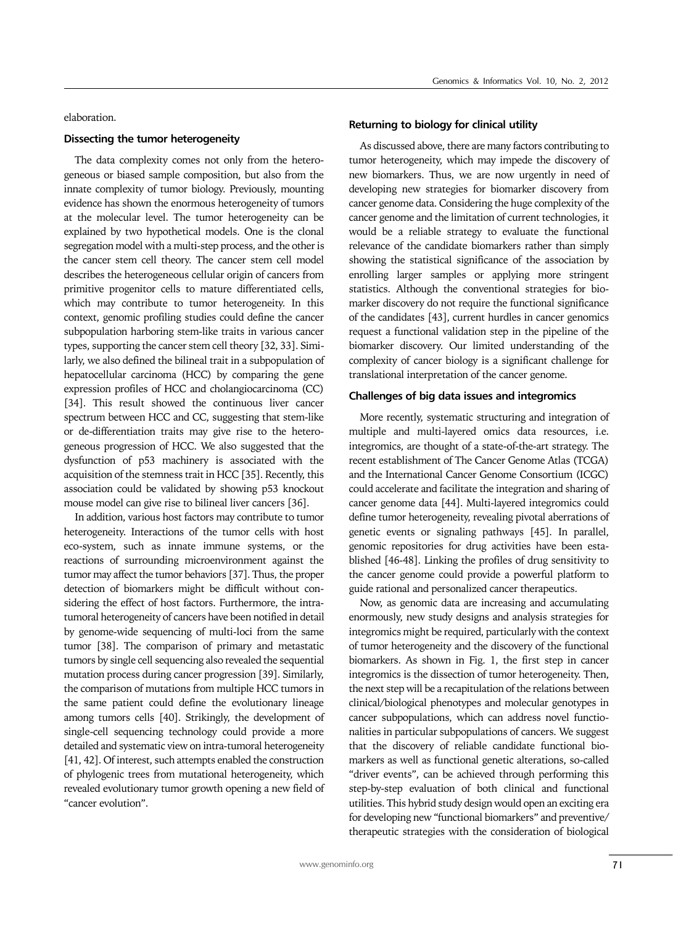elaboration.

#### **Dissecting the tumor heterogeneity**

The data complexity comes not only from the heterogeneous or biased sample composition, but also from the innate complexity of tumor biology. Previously, mounting evidence has shown the enormous heterogeneity of tumors at the molecular level. The tumor heterogeneity can be explained by two hypothetical models. One is the clonal segregation model with a multi-step process, and the other is the cancer stem cell theory. The cancer stem cell model describes the heterogeneous cellular origin of cancers from primitive progenitor cells to mature differentiated cells, which may contribute to tumor heterogeneity. In this context, genomic profiling studies could define the cancer subpopulation harboring stem-like traits in various cancer types, supporting the cancer stem cell theory [32, 33]. Similarly, we also defined the bilineal trait in a subpopulation of hepatocellular carcinoma (HCC) by comparing the gene expression profiles of HCC and cholangiocarcinoma (CC) [34]. This result showed the continuous liver cancer spectrum between HCC and CC, suggesting that stem-like or de-differentiation traits may give rise to the heterogeneous progression of HCC. We also suggested that the dysfunction of p53 machinery is associated with the acquisition of the stemness trait in HCC [35]. Recently, this association could be validated by showing p53 knockout mouse model can give rise to bilineal liver cancers [36].

In addition, various host factors may contribute to tumor heterogeneity. Interactions of the tumor cells with host eco-system, such as innate immune systems, or the reactions of surrounding microenvironment against the tumor may affect the tumor behaviors [37]. Thus, the proper detection of biomarkers might be difficult without considering the effect of host factors. Furthermore, the intratumoral heterogeneity of cancers have been notified in detail by genome-wide sequencing of multi-loci from the same tumor [38]. The comparison of primary and metastatic tumors by single cell sequencing also revealed the sequential mutation process during cancer progression [39]. Similarly, the comparison of mutations from multiple HCC tumors in the same patient could define the evolutionary lineage among tumors cells [40]. Strikingly, the development of single-cell sequencing technology could provide a more detailed and systematic view on intra-tumoral heterogeneity [41, 42]. Of interest, such attempts enabled the construction of phylogenic trees from mutational heterogeneity, which revealed evolutionary tumor growth opening a new field of "cancer evolution".

#### **Returning to biology for clinical utility**

As discussed above, there are many factors contributing to tumor heterogeneity, which may impede the discovery of new biomarkers. Thus, we are now urgently in need of developing new strategies for biomarker discovery from cancer genome data. Considering the huge complexity of the cancer genome and the limitation of current technologies, it would be a reliable strategy to evaluate the functional relevance of the candidate biomarkers rather than simply showing the statistical significance of the association by enrolling larger samples or applying more stringent statistics. Although the conventional strategies for biomarker discovery do not require the functional significance of the candidates [43], current hurdles in cancer genomics request a functional validation step in the pipeline of the biomarker discovery. Our limited understanding of the complexity of cancer biology is a significant challenge for translational interpretation of the cancer genome.

#### **Challenges of big data issues and integromics**

More recently, systematic structuring and integration of multiple and multi-layered omics data resources, i.e. integromics, are thought of a state-of-the-art strategy. The recent establishment of The Cancer Genome Atlas (TCGA) and the International Cancer Genome Consortium (ICGC) could accelerate and facilitate the integration and sharing of cancer genome data [44]. Multi-layered integromics could define tumor heterogeneity, revealing pivotal aberrations of genetic events or signaling pathways [45]. In parallel, genomic repositories for drug activities have been established [46-48]. Linking the profiles of drug sensitivity to the cancer genome could provide a powerful platform to guide rational and personalized cancer therapeutics.

Now, as genomic data are increasing and accumulating enormously, new study designs and analysis strategies for integromics might be required, particularly with the context of tumor heterogeneity and the discovery of the functional biomarkers. As shown in Fig. 1, the first step in cancer integromics is the dissection of tumor heterogeneity. Then, the next step will be a recapitulation of the relations between clinical/biological phenotypes and molecular genotypes in cancer subpopulations, which can address novel functionalities in particular subpopulations of cancers. We suggest that the discovery of reliable candidate functional biomarkers as well as functional genetic alterations, so-called "driver events", can be achieved through performing this step-by-step evaluation of both clinical and functional utilities. This hybrid study design would open an exciting era for developing new "functional biomarkers" and preventive/ therapeutic strategies with the consideration of biological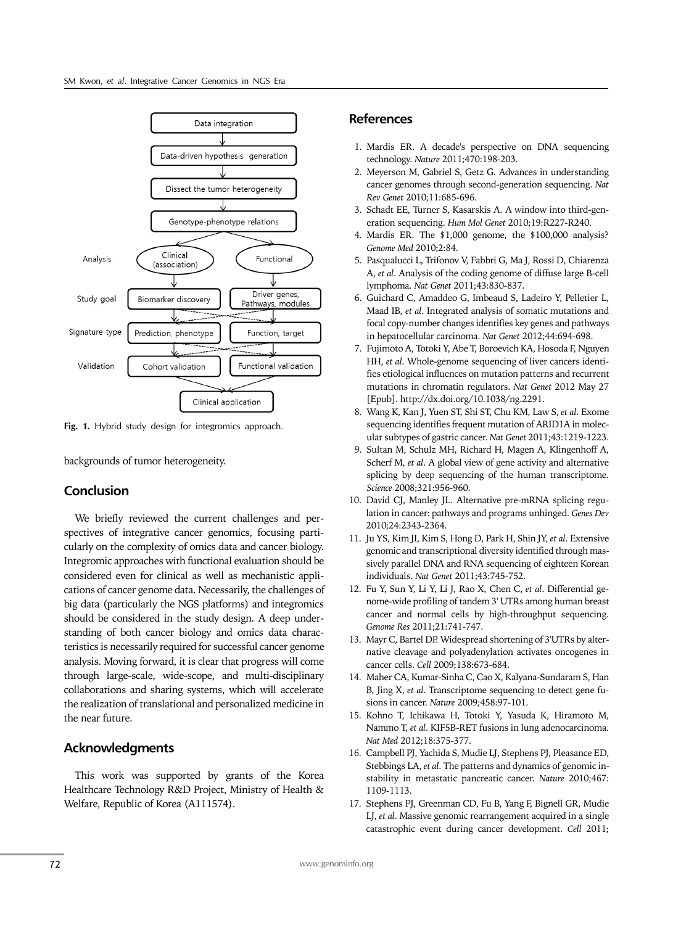

**Fig. 1.** Hybrid study design for integromics approach.

backgrounds of tumor heterogeneity.

## **Conclusion**

We briefly reviewed the current challenges and perspectives of integrative cancer genomics, focusing particularly on the complexity of omics data and cancer biology. Integromic approaches with functional evaluation should be considered even for clinical as well as mechanistic applications of cancer genome data. Necessarily, the challenges of big data (particularly the NGS platforms) and integromics should be considered in the study design. A deep understanding of both cancer biology and omics data characteristics is necessarily required for successful cancer genome analysis. Moving forward, it is clear that progress will come through large-scale, wide-scope, and multi-disciplinary collaborations and sharing systems, which will accelerate the realization of translational and personalized medicine in the near future.

## **Acknowledgments**

This work was supported by grants of the Korea Healthcare Technology R&D Project, Ministry of Health & Welfare, Republic of Korea (A111574).

## **References**

- 1. Mardis ER. A decade's perspective on DNA sequencing technology. *Nature* 2011;470:198-203.
- 2. Meyerson M, Gabriel S, Getz G. Advances in understanding cancer genomes through second-generation sequencing. *Nat Rev Genet* 2010;11:685-696.
- 3. Schadt EE, Turner S, Kasarskis A. A window into third-generation sequencing. *Hum Mol Genet* 2010;19:R227-R240.
- 4. Mardis ER. The \$1,000 genome, the \$100,000 analysis? *Genome Med* 2010;2:84.
- 5. Pasqualucci L, Trifonov V, Fabbri G, Ma J, Rossi D, Chiarenza A, *et al*. Analysis of the coding genome of diffuse large B-cell lymphoma. *Nat Genet* 2011;43:830-837.
- 6. Guichard C, Amaddeo G, Imbeaud S, Ladeiro Y, Pelletier L, Maad IB, *et al*. Integrated analysis of somatic mutations and focal copy-number changes identifies key genes and pathways in hepatocellular carcinoma. *Nat Genet* 2012;44:694-698.
- 7. Fujimoto A, Totoki Y, Abe T, Boroevich KA, Hosoda F, Nguyen HH, *et al*. Whole-genome sequencing of liver cancers identifies etiological influences on mutation patterns and recurrent mutations in chromatin regulators. *Nat Genet* 2012 May 27 [Epub]. http://dx.doi.org/10.1038/ng.2291.
- 8. Wang K, Kan J, Yuen ST, Shi ST, Chu KM, Law S, *et al*. Exome sequencing identifies frequent mutation of ARID1A in molecular subtypes of gastric cancer. *Nat Genet* 2011;43:1219-1223.
- 9. Sultan M, Schulz MH, Richard H, Magen A, Klingenhoff A, Scherf M, *et al*. A global view of gene activity and alternative splicing by deep sequencing of the human transcriptome. *Science* 2008;321:956-960.
- 10. David CJ, Manley JL. Alternative pre-mRNA splicing regulation in cancer: pathways and programs unhinged. *Genes Dev* 2010;24:2343-2364.
- 11. Ju YS, Kim JI, Kim S, Hong D, Park H, Shin JY, *et al*. Extensive genomic and transcriptional diversity identified through massively parallel DNA and RNA sequencing of eighteen Korean individuals. *Nat Genet* 2011;43:745-752.
- 12. Fu Y, Sun Y, Li Y, Li J, Rao X, Chen C, *et al*. Differential genome-wide profiling of tandem 3' UTRs among human breast cancer and normal cells by high-throughput sequencing. *Genome Res* 2011;21:741-747.
- 13. Mayr C, Bartel DP. Widespread shortening of 3'UTRs by alternative cleavage and polyadenylation activates oncogenes in cancer cells. *Cell* 2009;138:673-684.
- 14. Maher CA, Kumar-Sinha C, Cao X, Kalyana-Sundaram S, Han B, Jing X, *et al*. Transcriptome sequencing to detect gene fusions in cancer. *Nature* 2009;458:97-101.
- 15. Kohno T, Ichikawa H, Totoki Y, Yasuda K, Hiramoto M, Nammo T, *et al*. KIF5B-RET fusions in lung adenocarcinoma. *Nat Med* 2012;18:375-377.
- 16. Campbell PJ, Yachida S, Mudie LJ, Stephens PJ, Pleasance ED, Stebbings LA, *et al*. The patterns and dynamics of genomic instability in metastatic pancreatic cancer. *Nature* 2010;467: 1109-1113.
- 17. Stephens PJ, Greenman CD, Fu B, Yang F, Bignell GR, Mudie LJ, *et al*. Massive genomic rearrangement acquired in a single catastrophic event during cancer development. *Cell* 2011;